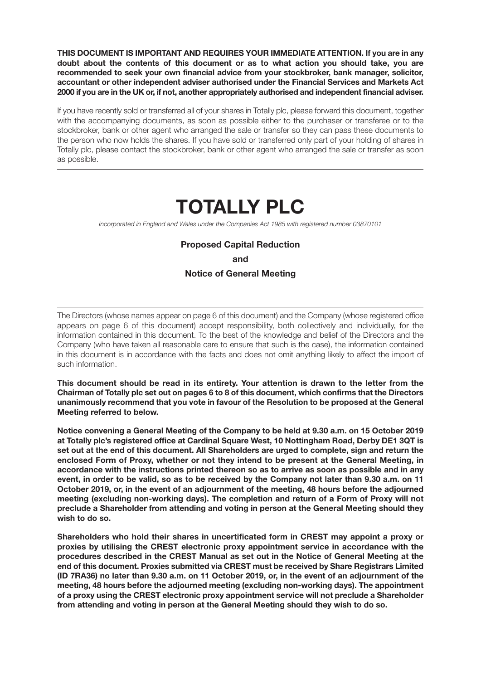**THIS DOCUMENT IS IMPORTANT AND REQUIRES YOUR IMMEDIATE ATTENTION. If you are in any doubt about the contents of this document or as to what action you should take, you are recommended to seek your own financial advice from your stockbroker, bank manager, solicitor, accountant or other independent adviser authorised under the Financial Services and Markets Act 2000 if you are in the UK or, if not, another appropriately authorised and independent financial adviser.** 

If you have recently sold or transferred all of your shares in Totally plc, please forward this document, together with the accompanying documents, as soon as possible either to the purchaser or transferee or to the stockbroker, bank or other agent who arranged the sale or transfer so they can pass these documents to the person who now holds the shares. If you have sold or transferred only part of your holding of shares in Totally plc, please contact the stockbroker, bank or other agent who arranged the sale or transfer as soon as possible.

# **TOTALLY PLC**

*Incorporated in England and Wales under the Companies Act 1985 with registered number 03870101* 

### **Proposed Capital Reduction**

**and** 

#### **Notice of General Meeting**

The Directors (whose names appear on page 6 of this document) and the Company (whose registered office appears on page 6 of this document) accept responsibility, both collectively and individually, for the information contained in this document. To the best of the knowledge and belief of the Directors and the Company (who have taken all reasonable care to ensure that such is the case), the information contained in this document is in accordance with the facts and does not omit anything likely to affect the import of such information.

**This document should be read in its entirety. Your attention is drawn to the letter from the Chairman of Totally plc set out on pages 6 to 8 of this document, which confirms that the Directors unanimously recommend that you vote in favour of the Resolution to be proposed at the General Meeting referred to below.** 

**Notice convening a General Meeting of the Company to be held at 9.30 a.m. on 15 October 2019 at Totally plc's registered office at Cardinal Square West, 10 Nottingham Road, Derby DE1 3QT is set out at the end of this document. All Shareholders are urged to complete, sign and return the enclosed Form of Proxy, whether or not they intend to be present at the General Meeting, in accordance with the instructions printed thereon so as to arrive as soon as possible and in any event, in order to be valid, so as to be received by the Company not later than 9.30 a.m. on 11 October 2019, or, in the event of an adjournment of the meeting, 48 hours before the adjourned meeting (excluding non-working days). The completion and return of a Form of Proxy will not preclude a Shareholder from attending and voting in person at the General Meeting should they wish to do so.** 

**Shareholders who hold their shares in uncertificated form in CREST may appoint a proxy or proxies by utilising the CREST electronic proxy appointment service in accordance with the procedures described in the CREST Manual as set out in the Notice of General Meeting at the end of this document. Proxies submitted via CREST must be received by Share Registrars Limited (ID 7RA36) no later than 9.30 a.m. on 11 October 2019, or, in the event of an adjournment of the meeting, 48 hours before the adjourned meeting (excluding non-working days). The appointment of a proxy using the CREST electronic proxy appointment service will not preclude a Shareholder from attending and voting in person at the General Meeting should they wish to do so.**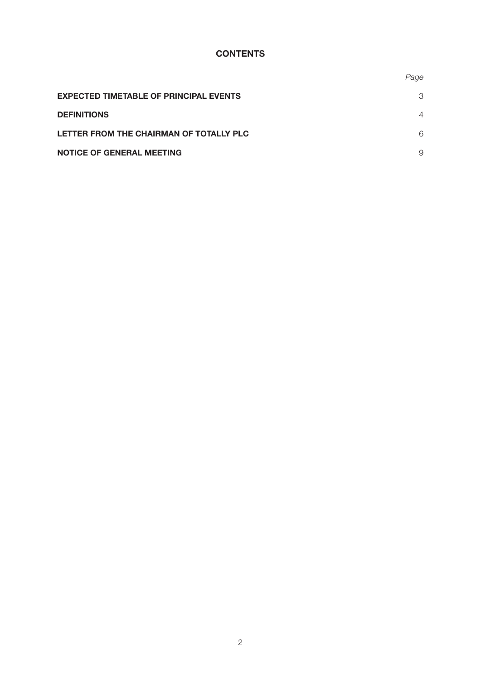# **CONTENTS**

|                                               | Page           |
|-----------------------------------------------|----------------|
| <b>EXPECTED TIMETABLE OF PRINCIPAL EVENTS</b> | 3              |
| <b>DEFINITIONS</b>                            | $\overline{4}$ |
| LETTER FROM THE CHAIRMAN OF TOTALLY PLC       | 6              |
| <b>NOTICE OF GENERAL MEETING</b>              | 9              |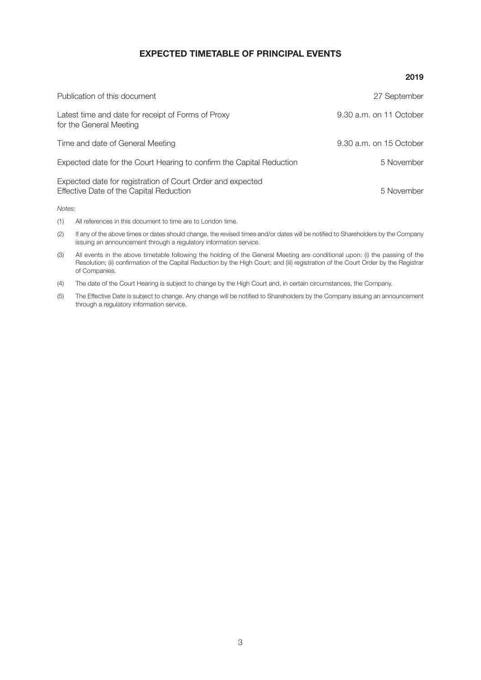# **EXPECTED TIMETABLE OF PRINCIPAL EVENTS**

| Publication of this document                                                                          | 27 September            |
|-------------------------------------------------------------------------------------------------------|-------------------------|
| Latest time and date for receipt of Forms of Proxy<br>for the General Meeting                         | 9.30 a.m. on 11 October |
| Time and date of General Meeting                                                                      | 9.30 a.m. on 15 October |
| Expected date for the Court Hearing to confirm the Capital Reduction                                  | 5 November              |
| Expected date for registration of Court Order and expected<br>Effective Date of the Capital Reduction | 5 November              |
| Notes:                                                                                                |                         |

- (1) All references in this document to time are to London time.
- (2) If any of the above times or dates should change, the revised times and/or dates will be notified to Shareholders by the Company issuing an announcement through a regulatory information service.
- (3) All events in the above timetable following the holding of the General Meeting are conditional upon: (i) the passing of the Resolution; (ii) confirmation of the Capital Reduction by the High Court; and (iii) registration of the Court Order by the Registrar of Companies.
- (4) The date of the Court Hearing is subject to change by the High Court and, in certain circumstances, the Company.
- (5) The Effective Date is subject to change. Any change will be notified to Shareholders by the Company issuing an announcement through a regulatory information service.

#### **2019**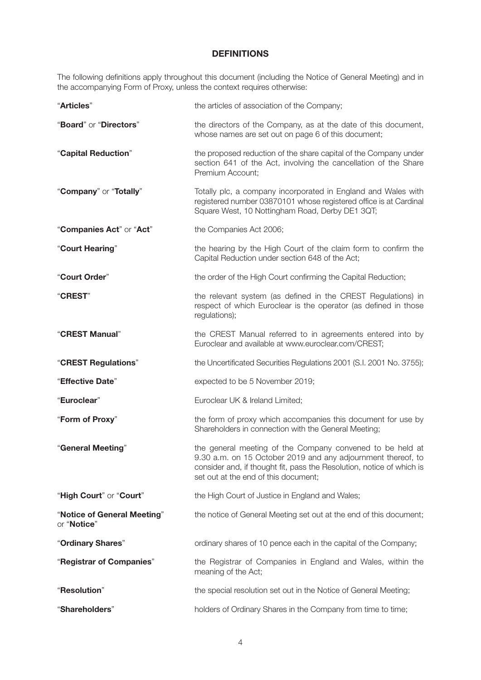# **DEFINITIONS**

The following definitions apply throughout this document (including the Notice of General Meeting) and in the accompanying Form of Proxy, unless the context requires otherwise:

| "Articles"                                 | the articles of association of the Company;                                                                                                                                                                                                |
|--------------------------------------------|--------------------------------------------------------------------------------------------------------------------------------------------------------------------------------------------------------------------------------------------|
| "Board" or "Directors"                     | the directors of the Company, as at the date of this document,<br>whose names are set out on page 6 of this document;                                                                                                                      |
| "Capital Reduction"                        | the proposed reduction of the share capital of the Company under<br>section 641 of the Act, involving the cancellation of the Share<br>Premium Account;                                                                                    |
| "Company" or "Totally"                     | Totally plc, a company incorporated in England and Wales with<br>registered number 03870101 whose registered office is at Cardinal<br>Square West, 10 Nottingham Road, Derby DE1 3QT;                                                      |
| "Companies Act" or "Act"                   | the Companies Act 2006;                                                                                                                                                                                                                    |
| "Court Hearing"                            | the hearing by the High Court of the claim form to confirm the<br>Capital Reduction under section 648 of the Act;                                                                                                                          |
| "Court Order"                              | the order of the High Court confirming the Capital Reduction;                                                                                                                                                                              |
| "CREST"                                    | the relevant system (as defined in the CREST Regulations) in<br>respect of which Euroclear is the operator (as defined in those<br>regulations);                                                                                           |
| "CREST Manual"                             | the CREST Manual referred to in agreements entered into by<br>Euroclear and available at www.euroclear.com/CREST;                                                                                                                          |
| "CREST Regulations"                        | the Uncertificated Securities Regulations 2001 (S.I. 2001 No. 3755);                                                                                                                                                                       |
| "Effective Date"                           | expected to be 5 November 2019;                                                                                                                                                                                                            |
| "Euroclear"                                | Euroclear UK & Ireland Limited;                                                                                                                                                                                                            |
| "Form of Proxy"                            | the form of proxy which accompanies this document for use by<br>Shareholders in connection with the General Meeting;                                                                                                                       |
| "General Meeting"                          | the general meeting of the Company convened to be held at<br>9.30 a.m. on 15 October 2019 and any adjournment thereof, to<br>consider and, if thought fit, pass the Resolution, notice of which is<br>set out at the end of this document; |
| "High Court" or "Court"                    | the High Court of Justice in England and Wales;                                                                                                                                                                                            |
| "Notice of General Meeting"<br>or "Notice" | the notice of General Meeting set out at the end of this document;                                                                                                                                                                         |
| "Ordinary Shares"                          | ordinary shares of 10 pence each in the capital of the Company;                                                                                                                                                                            |
| "Registrar of Companies"                   | the Registrar of Companies in England and Wales, within the<br>meaning of the Act;                                                                                                                                                         |
| "Resolution"                               | the special resolution set out in the Notice of General Meeting;                                                                                                                                                                           |
| "Shareholders"                             | holders of Ordinary Shares in the Company from time to time;                                                                                                                                                                               |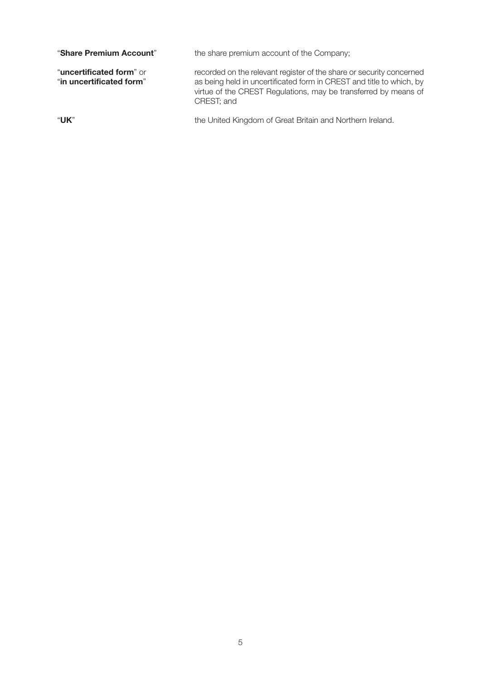| "Share Premium Account"                              | the share premium account of the Company;                                                                                                                                                                                     |
|------------------------------------------------------|-------------------------------------------------------------------------------------------------------------------------------------------------------------------------------------------------------------------------------|
| "uncertificated form" or<br>"in uncertificated form" | recorded on the relevant register of the share or security concerned<br>as being held in uncertificated form in CREST and title to which, by<br>virtue of the CREST Regulations, may be transferred by means of<br>CREST; and |
| "UK"                                                 | the United Kingdom of Great Britain and Northern Ireland.                                                                                                                                                                     |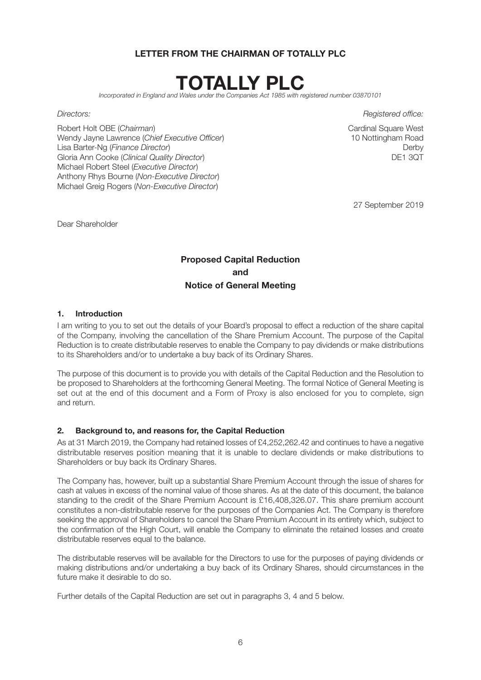# **LETTER FROM THE CHAIRMAN OF TOTALLY PLC**



*Incorporated in England and Wales under the Companies Act 1985 with registered number 03870101*

Robert Holt OBE (*Chairman*)<br>
Wendy Javne Lawrence (*Chief Executive Officer*)<br>
Wendy Javne Lawrence (*Chief Executive Officer*)<br>
20 Nottingham Road Wendy Jayne Lawrence (Chief Executive Officer) Lisa Barter-Ng (*Finance Director*) Derby Gloria Ann Cooke (Clinical Quality Director) Michael Robert Steel (*Executive Director*) Anthony Rhys Bourne (*Non-Executive Director*) Michael Greig Rogers (*Non-Executive Director*)

*Directors: Registered office:* 

27 September 2019

Dear Shareholder

# **Proposed Capital Reduction and Notice of General Meeting**

#### **1. Introduction**

I am writing to you to set out the details of your Board's proposal to effect a reduction of the share capital of the Company, involving the cancellation of the Share Premium Account. The purpose of the Capital Reduction is to create distributable reserves to enable the Company to pay dividends or make distributions to its Shareholders and/or to undertake a buy back of its Ordinary Shares.

The purpose of this document is to provide you with details of the Capital Reduction and the Resolution to be proposed to Shareholders at the forthcoming General Meeting. The formal Notice of General Meeting is set out at the end of this document and a Form of Proxy is also enclosed for you to complete, sign and return.

#### **2. Background to, and reasons for, the Capital Reduction**

As at 31 March 2019, the Company had retained losses of £4,252,262.42 and continues to have a negative distributable reserves position meaning that it is unable to declare dividends or make distributions to Shareholders or buy back its Ordinary Shares.

The Company has, however, built up a substantial Share Premium Account through the issue of shares for cash at values in excess of the nominal value of those shares. As at the date of this document, the balance standing to the credit of the Share Premium Account is £16,408,326.07. This share premium account constitutes a non-distributable reserve for the purposes of the Companies Act. The Company is therefore seeking the approval of Shareholders to cancel the Share Premium Account in its entirety which, subject to the confirmation of the High Court, will enable the Company to eliminate the retained losses and create distributable reserves equal to the balance.

The distributable reserves will be available for the Directors to use for the purposes of paying dividends or making distributions and/or undertaking a buy back of its Ordinary Shares, should circumstances in the future make it desirable to do so.

Further details of the Capital Reduction are set out in paragraphs 3, 4 and 5 below.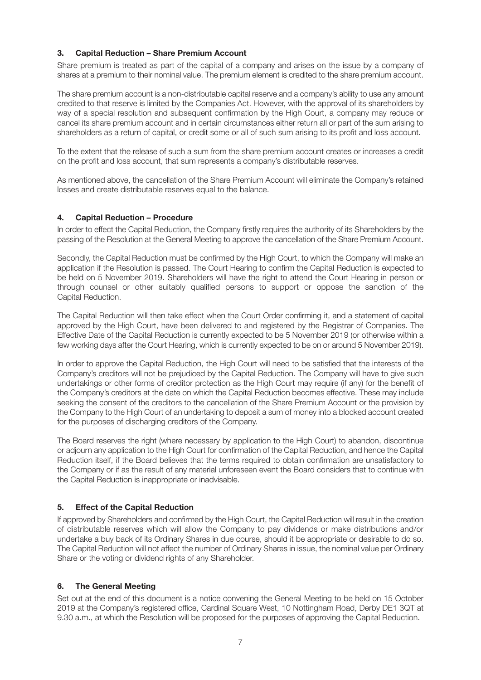### **3. Capital Reduction – Share Premium Account**

Share premium is treated as part of the capital of a company and arises on the issue by a company of shares at a premium to their nominal value. The premium element is credited to the share premium account.

The share premium account is a non-distributable capital reserve and a company's ability to use any amount credited to that reserve is limited by the Companies Act. However, with the approval of its shareholders by way of a special resolution and subsequent confirmation by the High Court, a company may reduce or cancel its share premium account and in certain circumstances either return all or part of the sum arising to shareholders as a return of capital, or credit some or all of such sum arising to its profit and loss account.

To the extent that the release of such a sum from the share premium account creates or increases a credit on the profit and loss account, that sum represents a company's distributable reserves.

As mentioned above, the cancellation of the Share Premium Account will eliminate the Company's retained losses and create distributable reserves equal to the balance.

#### **4. Capital Reduction – Procedure**

In order to effect the Capital Reduction, the Company firstly requires the authority of its Shareholders by the passing of the Resolution at the General Meeting to approve the cancellation of the Share Premium Account.

Secondly, the Capital Reduction must be confirmed by the High Court, to which the Company will make an application if the Resolution is passed. The Court Hearing to confirm the Capital Reduction is expected to be held on 5 November 2019. Shareholders will have the right to attend the Court Hearing in person or through counsel or other suitably qualified persons to support or oppose the sanction of the Capital Reduction.

The Capital Reduction will then take effect when the Court Order confirming it, and a statement of capital approved by the High Court, have been delivered to and registered by the Registrar of Companies. The Effective Date of the Capital Reduction is currently expected to be 5 November 2019 (or otherwise within a few working days after the Court Hearing, which is currently expected to be on or around 5 November 2019).

In order to approve the Capital Reduction, the High Court will need to be satisfied that the interests of the Company's creditors will not be prejudiced by the Capital Reduction. The Company will have to give such undertakings or other forms of creditor protection as the High Court may require (if any) for the benefit of the Company's creditors at the date on which the Capital Reduction becomes effective. These may include seeking the consent of the creditors to the cancellation of the Share Premium Account or the provision by the Company to the High Court of an undertaking to deposit a sum of money into a blocked account created for the purposes of discharging creditors of the Company.

The Board reserves the right (where necessary by application to the High Court) to abandon, discontinue or adjourn any application to the High Court for confirmation of the Capital Reduction, and hence the Capital Reduction itself, if the Board believes that the terms required to obtain confirmation are unsatisfactory to the Company or if as the result of any material unforeseen event the Board considers that to continue with the Capital Reduction is inappropriate or inadvisable.

# **5. Effect of the Capital Reduction**

If approved by Shareholders and confirmed by the High Court, the Capital Reduction will result in the creation of distributable reserves which will allow the Company to pay dividends or make distributions and/or undertake a buy back of its Ordinary Shares in due course, should it be appropriate or desirable to do so. The Capital Reduction will not affect the number of Ordinary Shares in issue, the nominal value per Ordinary Share or the voting or dividend rights of any Shareholder.

#### **6. The General Meeting**

Set out at the end of this document is a notice convening the General Meeting to be held on 15 October 2019 at the Company's registered office, Cardinal Square West, 10 Nottingham Road, Derby DE1 3QT at 9.30 a.m., at which the Resolution will be proposed for the purposes of approving the Capital Reduction.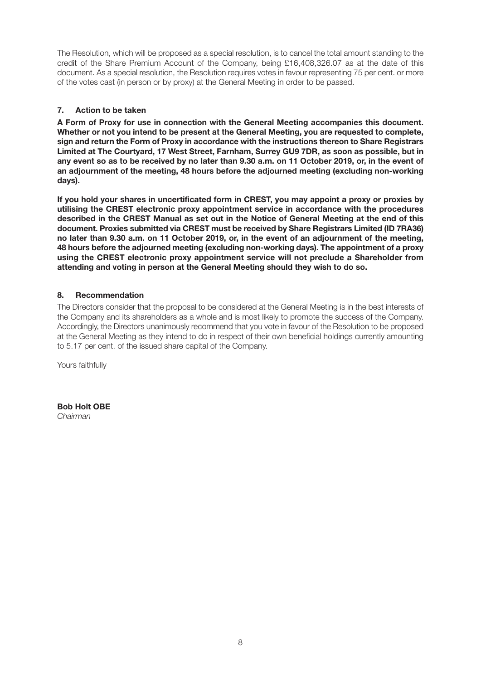The Resolution, which will be proposed as a special resolution, is to cancel the total amount standing to the credit of the Share Premium Account of the Company, being £16,408,326.07 as at the date of this document. As a special resolution, the Resolution requires votes in favour representing 75 per cent. or more of the votes cast (in person or by proxy) at the General Meeting in order to be passed.

# **7. Action to be taken**

**A Form of Proxy for use in connection with the General Meeting accompanies this document. Whether or not you intend to be present at the General Meeting, you are requested to complete, sign and return the Form of Proxy in accordance with the instructions thereon to Share Registrars Limited at The Courtyard, 17 West Street, Farnham, Surrey GU9 7DR, as soon as possible, but in any event so as to be received by no later than 9.30 a.m. on 11 October 2019, or, in the event of an adjournment of the meeting, 48 hours before the adjourned meeting (excluding non-working days).** 

**If you hold your shares in uncertificated form in CREST, you may appoint a proxy or proxies by utilising the CREST electronic proxy appointment service in accordance with the procedures described in the CREST Manual as set out in the Notice of General Meeting at the end of this document. Proxies submitted via CREST must be received by Share Registrars Limited (ID 7RA36) no later than 9.30 a.m. on 11 October 2019, or, in the event of an adjournment of the meeting, 48 hours before the adjourned meeting (excluding non-working days). The appointment of a proxy using the CREST electronic proxy appointment service will not preclude a Shareholder from attending and voting in person at the General Meeting should they wish to do so.** 

# **8. Recommendation**

The Directors consider that the proposal to be considered at the General Meeting is in the best interests of the Company and its shareholders as a whole and is most likely to promote the success of the Company. Accordingly, the Directors unanimously recommend that you vote in favour of the Resolution to be proposed at the General Meeting as they intend to do in respect of their own beneficial holdings currently amounting to 5.17 per cent. of the issued share capital of the Company.

Yours faithfully

**Bob Holt OBE** *Chairman*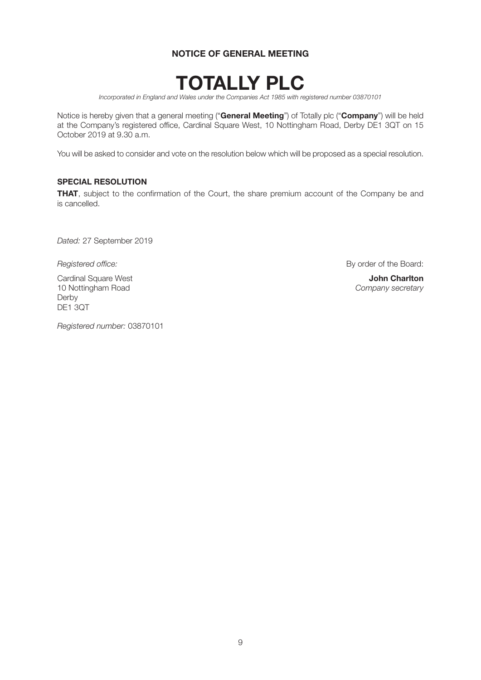# **NOTICE OF GENERAL MEETING**



*Incorporated in England and Wales under the Companies Act 1985 with registered number 03870101* 

Notice is hereby given that a general meeting ("**General Meeting**") of Totally plc ("**Company**") will be held at the Company's registered office, Cardinal Square West, 10 Nottingham Road, Derby DE1 3QT on 15 October 2019 at 9.30 a.m.

You will be asked to consider and vote on the resolution below which will be proposed as a special resolution.

#### **SPECIAL RESOLUTION**

**THAT**, subject to the confirmation of the Court, the share premium account of the Company be and is cancelled.

*Dated:* 27 September 2019

Cardinal Square West **John Charlton**  10 Nottingham Road *Company secretary*  Derby DE1 3QT

**Registered office: By order of the Board: By order of the Board:** 

*Registered number:* 03870101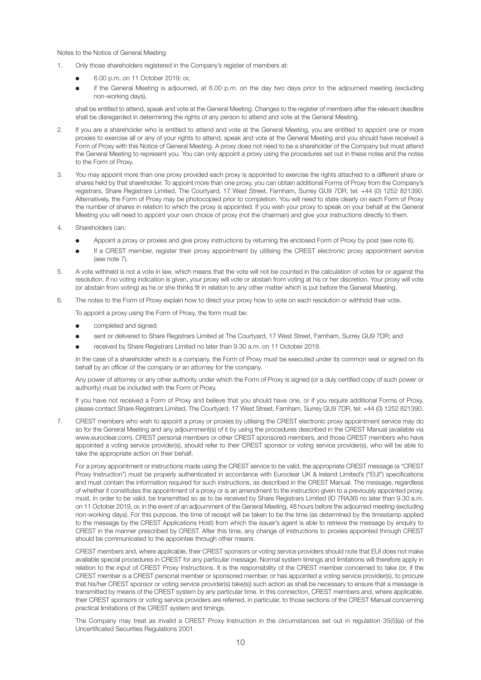Notes to the Notice of General Meeting

- 1. Only those shareholders registered in the Company's register of members at:
	- **e** 6.00 p.m. on 11 October 2019; or,
	- if the General Meeting is adjourned, at 6.00 p.m. on the day two days prior to the adjourned meeting (excluding non-working days),

 shall be entitled to attend, speak and vote at the General Meeting. Changes to the register of members after the relevant deadline shall be disregarded in determining the rights of any person to attend and vote at the General Meeting.

- 2. If you are a shareholder who is entitled to attend and vote at the General Meeting, you are entitled to appoint one or more proxies to exercise all or any of your rights to attend, speak and vote at the General Meeting and you should have received a Form of Proxy with this Notice of General Meeting. A proxy does not need to be a shareholder of the Company but must attend the General Meeting to represent you. You can only appoint a proxy using the procedures set out in these notes and the notes to the Form of Proxy.
- 3. You may appoint more than one proxy provided each proxy is appointed to exercise the rights attached to a different share or shares held by that shareholder. To appoint more than one proxy, you can obtain additional Forms of Proxy from the Company's registrars, Share Registrars Limited, The Courtyard, 17 West Street, Farnham, Surrey GU9 7DR, tel: +44 (0) 1252 821390. Alternatively, the Form of Proxy may be photocopied prior to completion. You will need to state clearly on each Form of Proxy the number of shares in relation to which the proxy is appointed. If you wish your proxy to speak on your behalf at the General Meeting you will need to appoint your own choice of proxy (not the chairman) and give your instructions directly to them.
- 4. Shareholders can:
	- l Appoint a proxy or proxies and give proxy instructions by returning the enclosed Form of Proxy by post (see note 6).
	- If a CREST member, register their proxy appointment by utilising the CREST electronic proxy appointment service (see note 7).
- 5. A vote withheld is not a vote in law, which means that the vote will not be counted in the calculation of votes for or against the resolution. If no voting indication is given, your proxy will vote or abstain from voting at his or her discretion. Your proxy will vote (or abstain from voting) as he or she thinks fit in relation to any other matter which is put before the General Meeting.
- 6. The notes to the Form of Proxy explain how to direct your proxy how to vote on each resolution or withhold their vote.

To appoint a proxy using the Form of Proxy, the form must be:

- completed and signed;
- sent or delivered to Share Registrars Limited at The Courtyard, 17 West Street, Farnham, Surrey GU9 7DR; and
- received by Share Registrars Limited no later than 9.30 a.m. on 11 October 2019.

 In the case of a shareholder which is a company, the Form of Proxy must be executed under its common seal or signed on its behalf by an officer of the company or an attorney for the company.

 Any power of attorney or any other authority under which the Form of Proxy is signed (or a duly certified copy of such power or authority) must be included with the Form of Proxy.

 If you have not received a Form of Proxy and believe that you should have one, or if you require additional Forms of Proxy, please contact Share Registrars Limited, The Courtyard, 17 West Street, Farnham, Surrey GU9 7DR, tel: +44 (0) 1252 821390.

7. CREST members who wish to appoint a proxy or proxies by utilising the CREST electronic proxy appointment service may do so for the General Meeting and any adjournment(s) of it by using the procedures described in the CREST Manual (available via www.euroclear.com). CREST personal members or other CREST sponsored members, and those CREST members who have appointed a voting service provider(s), should refer to their CREST sponsor or voting service provider(s), who will be able to take the appropriate action on their behalf.

 For a proxy appointment or instructions made using the CREST service to be valid, the appropriate CREST message (a "CREST Proxy Instruction") must be properly authenticated in accordance with Euroclear UK & Ireland Limited's ("EUI") specifications and must contain the information required for such instructions, as described in the CREST Manual. The message, regardless of whether it constitutes the appointment of a proxy or is an amendment to the instruction given to a previously appointed proxy, must, in order to be valid, be transmitted so as to be received by Share Registrars Limited (ID 7RA36) no later than 9.30 a.m. on 11 October 2019, or, in the event of an adjournment of the General Meeting, 48 hours before the adjourned meeting (excluding non-working days). For this purpose, the time of receipt will be taken to be the time (as determined by the timestamp applied to the message by the CREST Applications Host) from which the issuer's agent is able to retrieve the message by enquiry to CREST in the manner prescribed by CREST. After this time, any change of instructions to proxies appointed through CREST should be communicated to the appointee through other means.

 CREST members and, where applicable, their CREST sponsors or voting service providers should note that EUI does not make available special procedures in CREST for any particular message. Normal system timings and limitations will therefore apply in relation to the input of CREST Proxy Instructions. It is the responsibility of the CREST member concerned to take (or, if the CREST member is a CREST personal member or sponsored member, or has appointed a voting service provider(s), to procure that his/her CREST sponsor or voting service provider(s) take(s)) such action as shall be necessary to ensure that a message is transmitted by means of the CREST system by any particular time. In this connection, CREST members and, where applicable, their CREST sponsors or voting service providers are referred, in particular, to those sections of the CREST Manual concerning practical limitations of the CREST system and timings.

 The Company may treat as invalid a CREST Proxy Instruction in the circumstances set out in regulation 35(5)(a) of the Uncertificated Securities Regulations 2001.